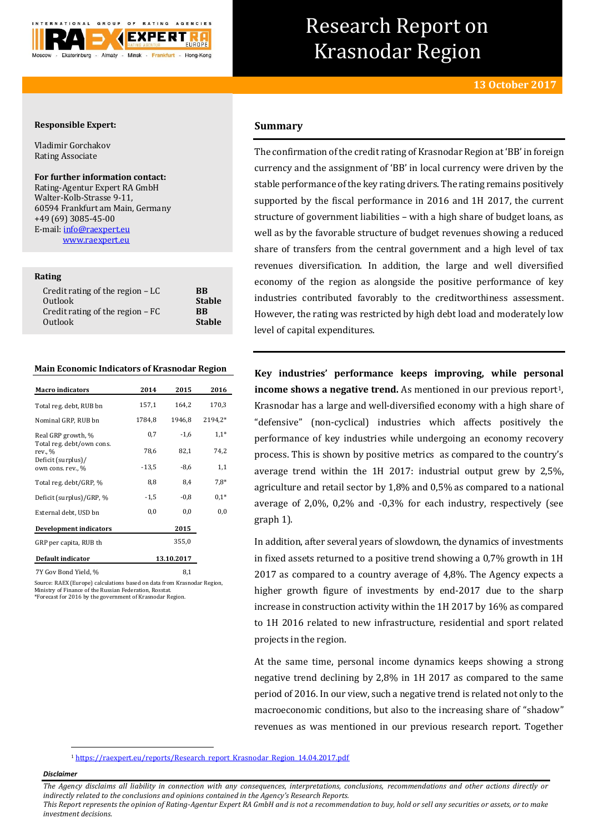

# Research Report on Krasnodar Region

# **Responsible Expert:**

Vladimir Gorchakov Rating Associate

#### **For further information contact:**

Rating-Agentur Expert RA GmbH Walter-Kolb-Strasse 9-11, 60594 Frankfurt am Main, Germany +49 (69) 3085-45-00 E-mail[: info@raexpert.eu](mailto:info@raexpert.eu) [www.raexpert.eu](http://raexpert.eu/)

# **Rating**

| Credit rating of the region $-LC$ | <b>BB</b>     |
|-----------------------------------|---------------|
| Outlook                           | <b>Stable</b> |
| Credit rating of the region $-FC$ | <b>RR</b>     |
| Outlook                           | <b>Stable</b> |
|                                   |               |

### **Main Economic Indicators of Krasnodar Region**

| <b>Macro</b> indicators                 | 2014       | 2015   | 2016    |
|-----------------------------------------|------------|--------|---------|
| Total reg. debt, RUB bn                 | 157,1      | 164,2  | 170,3   |
| Nominal GRP, RUB bn                     | 1784,8     | 1946,8 | 2194,2* |
| Real GRP growth, %                      | 0,7        | $-1,6$ | $1,1*$  |
| Total reg. debt/own cons.<br>rev., %    | 78,6       | 82,1   | 74,2    |
| Deficit (surplus)/<br>own cons. rev., % | $-13,5$    | $-8.6$ | 1,1     |
| Total reg. debt/GRP, %                  | 8,8        | 8,4    | $7.8*$  |
| Deficit (surplus)/GRP, %                | $-1,5$     | $-0.8$ | $0.1*$  |
| External debt, USD bn                   | 0,0        | 0,0    | 0,0     |
| Development indicators                  |            | 2015   |         |
| GRP per capita, RUB th                  |            | 355,0  |         |
| Default indicator                       | 13.10.2017 |        |         |
| 7Y Gov Bond Yield, %                    |            | 8,1    |         |

Source: RAEX (Europe) calculations based on data from Krasnodar Region, Ministry of Finance of the Russian Federation, Rosstat. \*Forecast for 2016 by the government of Krasnodar Region.

# **Summary**

The confirmation of the credit rating of Krasnodar Region at 'BB' in foreign currency and the assignment of 'BB' in local currency were driven by the stable performance of the key rating drivers. The rating remains positively supported by the fiscal performance in 2016 and 1H 2017, the current structure of government liabilities – with a high share of budget loans, as well as by the favorable structure of budget revenues showing a reduced share of transfers from the central government and a high level of tax revenues diversification. In addition, the large and well diversified economy of the region as alongside the positive performance of key industries contributed favorably to the creditworthiness assessment. However, the rating was restricted by high debt load and moderately low level of capital expenditures.

**Key industries' performance keeps improving, while personal income shows a negative trend.** As mentioned in our previous report<sup>1</sup>, Krasnodar has a large and well-diversified economy with a high share of "defensive" (non-cyclical) industries which affects positively the performance of key industries while undergoing an economy recovery process. This is shown by positive metrics as compared to the country's average trend within the 1H 2017: industrial output grew by 2,5%, agriculture and retail sector by 1,8% and 0,5% as compared to a national average of 2,0%, 0,2% and -0,3% for each industry, respectively (see graph 1).

In addition, after several years of slowdown, the dynamics of investments in fixed assets returned to a positive trend showing a 0,7% growth in 1H 2017 as compared to a country average of 4,8%. The Agency expects a higher growth figure of investments by end-2017 due to the sharp increase in construction activity within the 1H 2017 by 16% as compared to 1H 2016 related to new infrastructure, residential and sport related projects in the region.

At the same time, personal income dynamics keeps showing a strong negative trend declining by 2,8% in 1H 2017 as compared to the same period of 2016. In our view, such a negative trend is related not only to the macroeconomic conditions, but also to the increasing share of "shadow" revenues as was mentioned in our previous research report. Together

<sup>1</sup> [https://raexpert.eu/reports/Research\\_report\\_Krasnodar\\_Region\\_14.04.2017.pdf](https://raexpert.eu/reports/Research_report_Krasnodar_Region_14.04.2017.pdf)

#### *Disclaimer*

-

*The Agency disclaims all liability in connection with any consequences, interpretations, conclusions, recommendations and other actions directly or indirectly related to the conclusions and opinions contained in the Agency's Research Reports.*

*This Report represents the opinion of Rating-Agentur Expert RA GmbH and is not a recommendation to buy, hold or sell any securities or assets, or to make investment decisions.*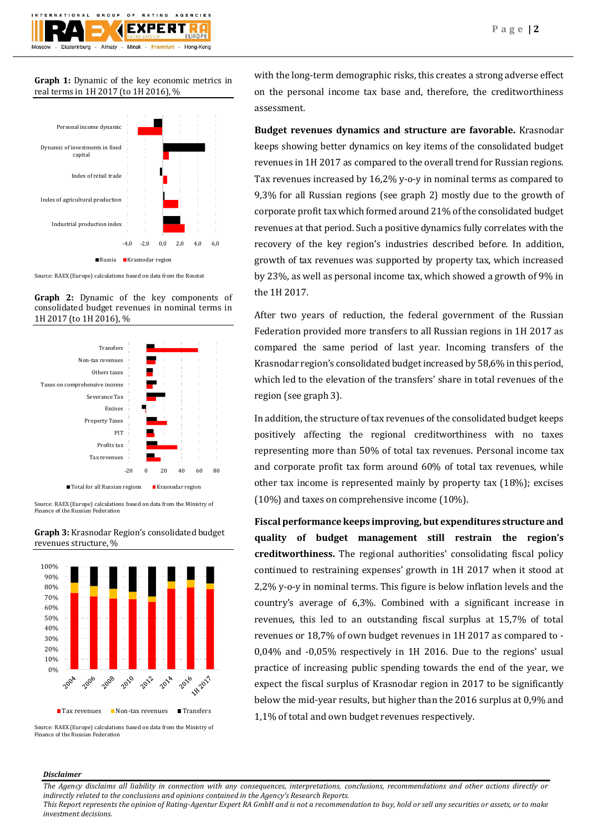**Graph 1:** Dynamic of the key economic metrics in real terms in 1H 2017 (to 1H 2016), %



Source: RAEX (Europe) calculations based on data from the Rosstat

**Graph 2:** Dynamic of the key components of consolidated budget revenues in nominal terms in 1H 2017 (to 1H 2016), %



Source: RAEX (Europe) calculations based on data from the Ministry of Finance of the Russian Federation





Source: RAEX (Europe) calculations based on data from the Ministry of Finance of the Russian Federation

with the long-term demographic risks, this creates a strong adverse effect on the personal income tax base and, therefore, the creditworthiness assessment.

**Budget revenues dynamics and structure are favorable.** Krasnodar keeps showing better dynamics on key items of the consolidated budget revenues in 1H 2017 as compared to the overall trend for Russian regions. Tax revenues increased by 16,2% y-o-y in nominal terms as compared to 9,3% for all Russian regions (see graph 2) mostly due to the growth of corporate profit tax which formed around 21% of the consolidated budget revenues at that period. Such a positive dynamics fully correlates with the recovery of the key region's industries described before. In addition, growth of tax revenues was supported by property tax, which increased by 23%, as well as personal income tax, which showed a growth of 9% in the 1H 2017.

After two years of reduction, the federal government of the Russian Federation provided more transfers to all Russian regions in 1H 2017 as compared the same period of last year. Incoming transfers of the Krasnodar region's consolidated budget increased by 58,6% in this period, which led to the elevation of the transfers' share in total revenues of the region (see graph 3).

In addition, the structure of tax revenues of the consolidated budget keeps positively affecting the regional creditworthiness with no taxes representing more than 50% of total tax revenues. Personal income tax and corporate profit tax form around 60% of total tax revenues, while other tax income is represented mainly by property tax (18%); excises (10%) and taxes on comprehensive income (10%).

**Fiscal performance keeps improving, but expenditures structure and quality of budget management still restrain the region's creditworthiness.** The regional authorities' consolidating fiscal policy continued to restraining expenses' growth in 1H 2017 when it stood at 2,2% y-o-y in nominal terms. This figure is below inflation levels and the country's average of 6,3%. Combined with a significant increase in revenues, this led to an outstanding fiscal surplus at 15,7% of total revenues or 18,7% of own budget revenues in 1H 2017 as compared to - 0,04% and -0,05% respectively in 1H 2016. Due to the regions' usual practice of increasing public spending towards the end of the year, we expect the fiscal surplus of Krasnodar region in 2017 to be significantly below the mid-year results, but higher than the 2016 surplus at 0,9% and 1,1% of total and own budget revenues respectively.

### *Disclaimer*

*The Agency disclaims all liability in connection with any consequences, interpretations, conclusions, recommendations and other actions directly or indirectly related to the conclusions and opinions contained in the Agency's Research Reports.*

*This Report represents the opinion of Rating-Agentur Expert RA GmbH and is not a recommendation to buy, hold or sell any securities or assets, or to make investment decisions.*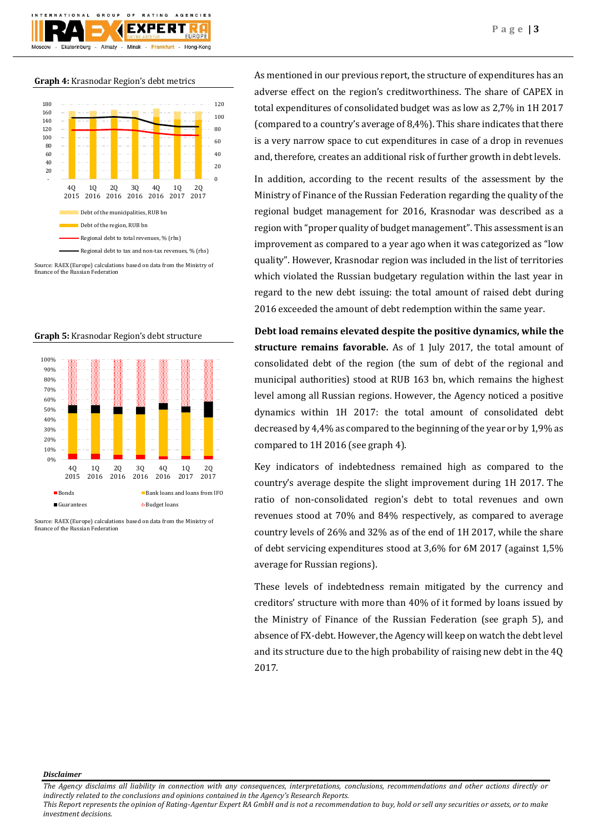

#### **Graph 4:** Krasnodar Region's debt metrics



Source: RAEX (Europe) calculations based on data from the Ministry of finance of the Russian Federation



Source: RAEX (Europe) calculations based on data from the Ministry of finance of the Russian Federation

As mentioned in our previous report, the structure of expenditures has an adverse effect on the region's creditworthiness. The share of CAPEX in total expenditures of consolidated budget was as low as 2,7% in 1H 2017 (compared to a country's average of 8,4%). This share indicates that there is a very narrow space to cut expenditures in case of a drop in revenues and, therefore, creates an additional risk of further growth in debt levels.

In addition, according to the recent results of the assessment by the Ministry of Finance of the Russian Federation regarding the quality of the regional budget management for 2016, Krasnodar was described as a region with "proper quality of budget management". This assessment is an improvement as compared to a year ago when it was categorized as "low quality". However, Krasnodar region was included in the list of territories which violated the Russian budgetary regulation within the last year in regard to the new debt issuing: the total amount of raised debt during 2016 exceeded the amount of debt redemption within the same year.

**Debt load remains elevated despite the positive dynamics, while the structure remains favorable.** As of 1 July 2017, the total amount of consolidated debt of the region (the sum of debt of the regional and municipal authorities) stood at RUB 163 bn, which remains the highest level among all Russian regions. However, the Agency noticed a positive dynamics within 1H 2017: the total amount of consolidated debt decreased by 4,4% as compared to the beginning of the year or by 1,9% as compared to 1H 2016 (see graph 4).

Key indicators of indebtedness remained high as compared to the country's average despite the slight improvement during 1H 2017. The ratio of non-consolidated region's debt to total revenues and own revenues stood at 70% and 84% respectively, as compared to average country levels of 26% and 32% as of the end of 1H 2017, while the share of debt servicing expenditures stood at 3,6% for 6M 2017 (against 1,5% average for Russian regions).

These levels of indebtedness remain mitigated by the currency and creditors' structure with more than 40% of it formed by loans issued by the Ministry of Finance of the Russian Federation (see graph 5), and absence of FX-debt. However, the Agency will keep on watch the debt level and its structure due to the high probability of raising new debt in the 4Q 2017.

*Disclaimer* 

*This Report represents the opinion of Rating-Agentur Expert RA GmbH and is not a recommendation to buy, hold or sell any securities or assets, or to make investment decisions.*

*The Agency disclaims all liability in connection with any consequences, interpretations, conclusions, recommendations and other actions directly or indirectly related to the conclusions and opinions contained in the Agency's Research Reports.*